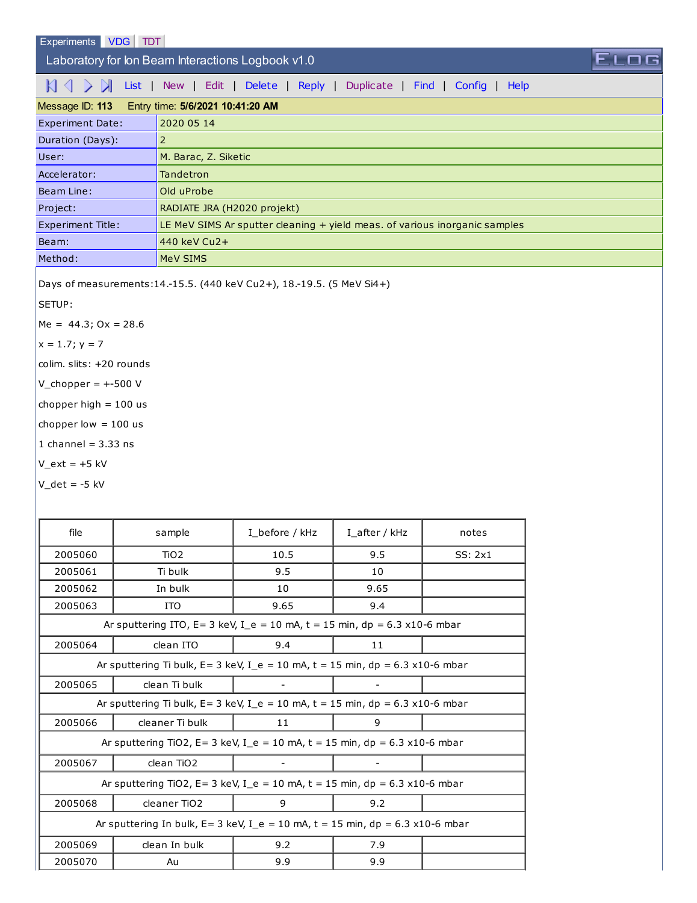## Laboratory for Ion Beam Interactions Logbook v1.0

## KI \ \ \ \ \ \ [List](http://sim1.zef.irb.hr:8080/Experiments/?id=113) | [New](http://sim1.zef.irb.hr:8080/Experiments/113?cmd=New) | [Edit](http://sim1.zef.irb.hr:8080/Experiments/113?cmd=Edit) | [Delete](http://sim1.zef.irb.hr:8080/Experiments/113?cmd=Delete) | [Reply](http://sim1.zef.irb.hr:8080/Experiments/113?cmd=Reply) | [Duplicate](http://sim1.zef.irb.hr:8080/Experiments/113?cmd=Duplicate) | [Find](http://sim1.zef.irb.hr:8080/Experiments/113?cmd=Find) | [Config](http://sim1.zef.irb.hr:8080/Experiments/113?cmd=Config) | [Help](http://sim1.zef.irb.hr:8080/Experiments/113?cmd=Help)

| Message ID: 113<br>Entry time: 5/6/2021 10:41:20 AM |                                                                            |  |  |  |  |  |
|-----------------------------------------------------|----------------------------------------------------------------------------|--|--|--|--|--|
| <b>Experiment Date:</b>                             | 2020 05 14                                                                 |  |  |  |  |  |
| Duration (Days):                                    |                                                                            |  |  |  |  |  |
| User:                                               | M. Barac, Z. Siketic                                                       |  |  |  |  |  |
| Accelerator:                                        | Tandetron                                                                  |  |  |  |  |  |
| Beam Line:                                          | Old uProbe                                                                 |  |  |  |  |  |
| Project:                                            | RADIATE JRA (H2020 projekt)                                                |  |  |  |  |  |
| <b>Experiment Title:</b>                            | LE MeV SIMS Ar sputter cleaning + yield meas. of various inorganic samples |  |  |  |  |  |
| Beam:                                               | 440 keV Cu <sub>2</sub> +                                                  |  |  |  |  |  |
| Method:                                             | MeV SIMS                                                                   |  |  |  |  |  |

FIO

Days of measurements:14.-15.5. (440 keV Cu2+), 18.-19.5. (5 MeV Si4+)

SETUP:

 $Me = 44.3$ ; Ox = 28.6

$$
x = 1.7; y = 7
$$

colim. slits: +20 rounds

V\_chopper =  $+500$  V

chopper high  $= 100$  us

chopper low  $= 100$  us

1 channel =  $3.33$  ns

 $V_{ext} = +5$  kV

 $V_{\text{det}} = -5$  kV

| file                                                                                     | sample           | I_before / kHz | I after / $kHz$ | notes   |  |  |
|------------------------------------------------------------------------------------------|------------------|----------------|-----------------|---------|--|--|
| 2005060                                                                                  | TiO <sub>2</sub> | 10.5           | 9.5             | SS: 2x1 |  |  |
| 2005061                                                                                  | Ti bulk          | 9.5            | 10              |         |  |  |
| 2005062                                                                                  | In bulk          | 10             | 9.65            |         |  |  |
| 2005063                                                                                  | <b>ITO</b>       | 9.65           | 9.4             |         |  |  |
| Ar sputtering ITO, E= 3 keV, I_e = 10 mA, t = 15 min, dp = 6.3 x10-6 mbar                |                  |                |                 |         |  |  |
| 2005064                                                                                  | clean ITO        | 9.4            | 11              |         |  |  |
| Ar sputtering Ti bulk, $E = 3$ keV, I e = 10 mA, t = 15 min, dp = 6.3 x10-6 mbar         |                  |                |                 |         |  |  |
| 2005065                                                                                  | clean Ti bulk    |                |                 |         |  |  |
| Ar sputtering Ti bulk, E= 3 keV, I_e = 10 mA, t = 15 min, dp = $6.3 \times 10^{-6}$ mbar |                  |                |                 |         |  |  |
| 2005066                                                                                  | cleaner Ti bulk  | 11             | 9               |         |  |  |
| Ar sputtering TiO2, E= 3 keV, I_e = 10 mA, t = 15 min, dp = 6.3 x10-6 mbar               |                  |                |                 |         |  |  |
| 2005067                                                                                  | clean TiO2       |                |                 |         |  |  |
| Ar sputtering TiO2, E= 3 keV, I_e = 10 mA, t = 15 min, dp = $6.3$ x10-6 mbar             |                  |                |                 |         |  |  |
| 2005068                                                                                  | cleaner TiO2     | 9              | 9.2             |         |  |  |
| Ar sputtering In bulk, $E = 3$ keV, I_e = 10 mA, t = 15 min, dp = 6.3 x10-6 mbar         |                  |                |                 |         |  |  |
| 2005069                                                                                  | clean In bulk    | 9.2            | 7.9             |         |  |  |
| 2005070                                                                                  | Au               | 9.9            | 9.9             |         |  |  |